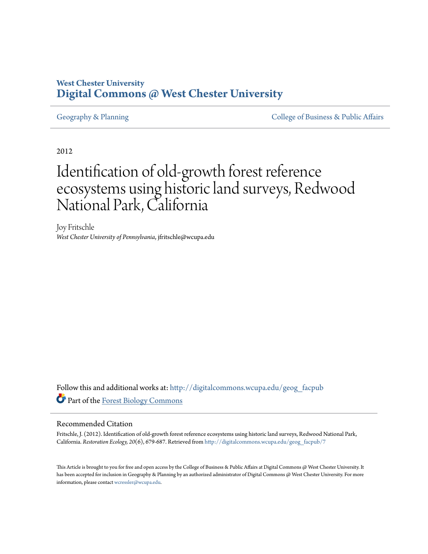# **West Chester University [Digital Commons @ West Chester University](http://digitalcommons.wcupa.edu?utm_source=digitalcommons.wcupa.edu%2Fgeog_facpub%2F7&utm_medium=PDF&utm_campaign=PDFCoverPages)**

[Geography & Planning](http://digitalcommons.wcupa.edu/geog_facpub?utm_source=digitalcommons.wcupa.edu%2Fgeog_facpub%2F7&utm_medium=PDF&utm_campaign=PDFCoverPages) The [College of Business & Public Affairs](http://digitalcommons.wcupa.edu/cbpa?utm_source=digitalcommons.wcupa.edu%2Fgeog_facpub%2F7&utm_medium=PDF&utm_campaign=PDFCoverPages)

2012

# Identification of old-growth forest reference ecosystems using historic land surveys, Redwood National Park, California

Joy Fritschle *West Chester University of Pennsylvania*, jfritschle@wcupa.edu

Follow this and additional works at: [http://digitalcommons.wcupa.edu/geog\\_facpub](http://digitalcommons.wcupa.edu/geog_facpub?utm_source=digitalcommons.wcupa.edu%2Fgeog_facpub%2F7&utm_medium=PDF&utm_campaign=PDFCoverPages) Part of the [Forest Biology Commons](http://network.bepress.com/hgg/discipline/91?utm_source=digitalcommons.wcupa.edu%2Fgeog_facpub%2F7&utm_medium=PDF&utm_campaign=PDFCoverPages)

#### Recommended Citation

Fritschle, J. (2012). Identification of old-growth forest reference ecosystems using historic land surveys, Redwood National Park, California. *Restoration Ecology, 20*(6), 679-687. Retrieved from [http://digitalcommons.wcupa.edu/geog\\_facpub/7](http://digitalcommons.wcupa.edu/geog_facpub/7?utm_source=digitalcommons.wcupa.edu%2Fgeog_facpub%2F7&utm_medium=PDF&utm_campaign=PDFCoverPages)

This Article is brought to you for free and open access by the College of Business & Public Affairs at Digital Commons @ West Chester University. It has been accepted for inclusion in Geography & Planning by an authorized administrator of Digital Commons @ West Chester University. For more information, please contact [wcressler@wcupa.edu.](mailto:wcressler@wcupa.edu)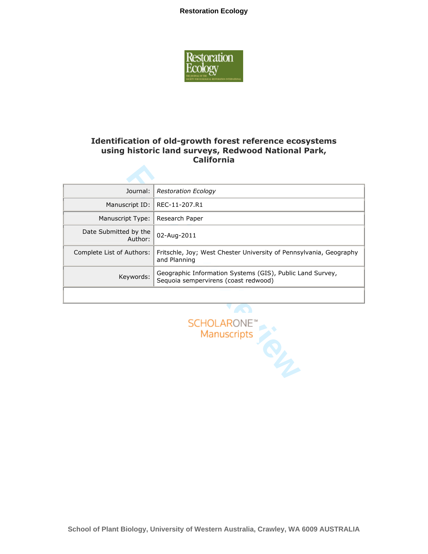

### Identification of old-growth forest reference ecosystems using historic land surveys, Redwood National Park, California

| Journal:                         | <b>Restoration Ecology</b>                                                                        |
|----------------------------------|---------------------------------------------------------------------------------------------------|
| Manuscript ID:                   | REC-11-207.R1                                                                                     |
| Manuscript Type:                 | Research Paper                                                                                    |
| Date Submitted by the<br>Author: | 02-Aug-2011                                                                                       |
| Complete List of Authors:        | Fritschle, Joy; West Chester University of Pennsylvania, Geography<br>and Planning                |
| Keywords:                        | Geographic Information Systems (GIS), Public Land Survey,<br>Sequoia sempervirens (coast redwood) |
|                                  |                                                                                                   |

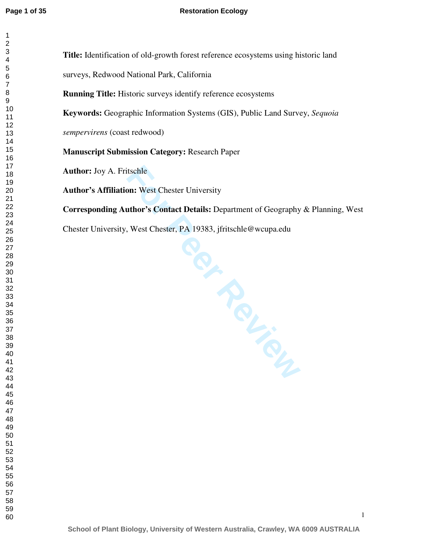$\mathbf{1}$ 

| 1              |  |
|----------------|--|
| $\overline{c}$ |  |
|                |  |
| 34567          |  |
|                |  |
|                |  |
|                |  |
|                |  |
|                |  |
|                |  |
|                |  |
|                |  |
|                |  |
|                |  |
|                |  |
|                |  |
|                |  |
|                |  |
|                |  |
|                |  |
|                |  |
|                |  |
|                |  |
|                |  |
|                |  |
|                |  |
|                |  |
|                |  |
|                |  |
|                |  |
|                |  |
|                |  |
|                |  |
|                |  |
|                |  |
|                |  |
|                |  |
|                |  |
|                |  |
| 38             |  |
| 39             |  |
|                |  |
| 40             |  |
| 41             |  |
| 42             |  |
| 43             |  |
| 44             |  |
| 45             |  |
| 46             |  |
| 47             |  |
| 48             |  |
| 49             |  |
| 50             |  |
| 51             |  |
| - .<br>52      |  |
| 53             |  |
|                |  |
| 54             |  |
| 55             |  |
| 56             |  |
| 57             |  |
| 58             |  |
| 59             |  |
| 60             |  |

**Title:** Identification of old-growth forest reference ecosystems using historic land

surveys, Redwood National Park, California

**Running Title:** Historic surveys identify reference ecosystems

**Keywords:** Geographic Information Systems (GIS), Public Land Survey, *Sequoia* 

*sempervirens* (coast redwood)

**Manuscript Submission Category:** Research Paper

**Author:** Joy A. Fritschle

**Author's Affiliation:** West Chester University

**Corresponding Author's Contact Details:** Department of Geography & Planning, West

Chester University, West Chester, PA 19383, jfritschle@wcupa.edu

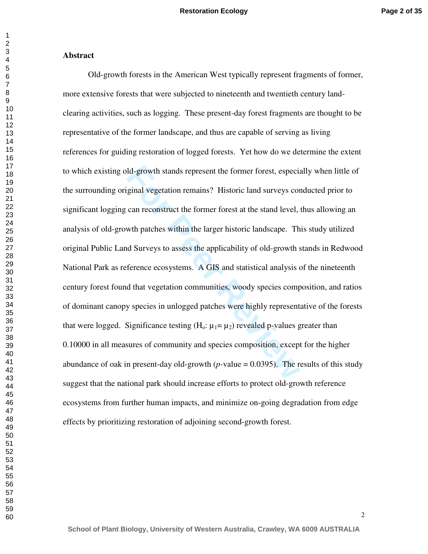#### **Abstract**

Id-growth stands represent the former forest, especial<br>ginal vegetation remains? Historic land surveys cor<br>can reconstruct the former forest at the stand level, with patches within the larger historic landscape. The<br>d Sur Old-growth forests in the American West typically represent fragments of former, more extensive forests that were subjected to nineteenth and twentieth century landclearing activities, such as logging. These present-day forest fragments are thought to be representative of the former landscape, and thus are capable of serving as living references for guiding restoration of logged forests. Yet how do we determine the extent to which existing old-growth stands represent the former forest, especially when little of the surrounding original vegetation remains? Historic land surveys conducted prior to significant logging can reconstruct the former forest at the stand level, thus allowing an analysis of old-growth patches within the larger historic landscape. This study utilized original Public Land Surveys to assess the applicability of old-growth stands in Redwood National Park as reference ecosystems. A GIS and statistical analysis of the nineteenth century forest found that vegetation communities, woody species composition, and ratios of dominant canopy species in unlogged patches were highly representative of the forests that were logged. Significance testing  $(H_0: \mu_1 = \mu_2)$  revealed p-values greater than 0.10000 in all measures of community and species composition, except for the higher abundance of oak in present-day old-growth (*p-*value = 0.0395). The results of this study suggest that the national park should increase efforts to protect old-growth reference ecosystems from further human impacts, and minimize on-going degradation from edge effects by prioritizing restoration of adjoining second-growth forest.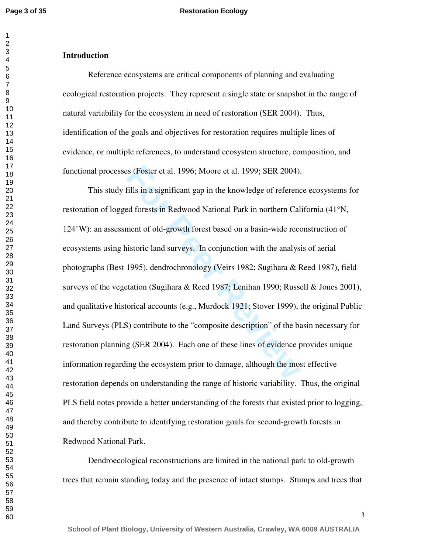#### **Restoration Ecology**

#### **Introduction**

Reference ecosystems are critical components of planning and evaluating ecological restoration projects. They represent a single state or snapshot in the range of natural variability for the ecosystem in need of restoration (SER 2004). Thus, identification of the goals and objectives for restoration requires multiple lines of evidence, or multiple references, to understand ecosystem structure, composition, and functional processes (Foster et al. 1996; Moore et al. 1999; SER 2004).

Fills in a significant gap in the knowledge of referenced forests in Redwood National Park in northern Cal ment of old-growth forest based on a basin-wide rece istoric land surveys. In conjunction with the analys 1995), de This study fills in a significant gap in the knowledge of reference ecosystems for restoration of logged forests in Redwood National Park in northern California (41°N, 124°W): an assessment of old-growth forest based on a basin-wide reconstruction of ecosystems using historic land surveys. In conjunction with the analysis of aerial photographs (Best 1995), dendrochronology (Veirs 1982; Sugihara & Reed 1987), field surveys of the vegetation (Sugihara & Reed 1987; Lenihan 1990; Russell & Jones 2001), and qualitative historical accounts (e.g., Murdock 1921; Stover 1999), the original Public Land Surveys (PLS) contribute to the "composite description" of the basin necessary for restoration planning (SER 2004). Each one of these lines of evidence provides unique information regarding the ecosystem prior to damage, although the most effective restoration depends on understanding the range of historic variability. Thus, the original PLS field notes provide a better understanding of the forests that existed prior to logging, and thereby contribute to identifying restoration goals for second-growth forests in Redwood National Park.

Dendroecological reconstructions are limited in the national park to old-growth trees that remain standing today and the presence of intact stumps. Stumps and trees that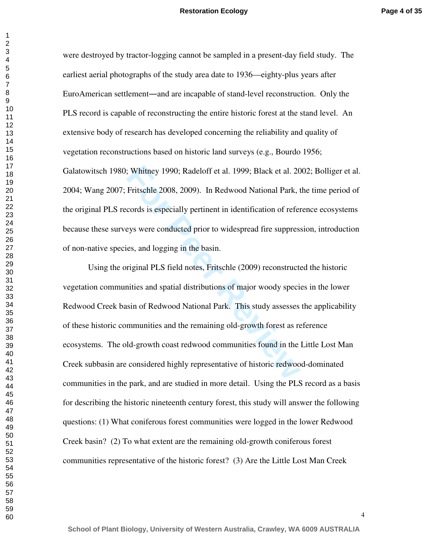were destroyed by tractor-logging cannot be sampled in a present-day field study. The earliest aerial photographs of the study area date to 1936—eighty-plus years after EuroAmerican settlement—and are incapable of stand-level reconstruction. Only the PLS record is capable of reconstructing the entire historic forest at the stand level. An extensive body of research has developed concerning the reliability and quality of vegetation reconstructions based on historic land surveys (e.g., Bourdo 1956; Galatowitsch 1980; Whitney 1990; Radeloff et al. 1999; Black et al. 2002; Bolliger et al. 2004; Wang 2007; Fritschle 2008, 2009). In Redwood National Park, the time period of the original PLS records is especially pertinent in identification of reference ecosystems because these surveys were conducted prior to widespread fire suppression, introduction of non-native species, and logging in the basin.

**Fritschle 2008, Radeloff et al. 1999; Black et al. 20**<br>Fritschle 2008, 2009). In Redwood National Park, t<br>cords is especially pertinent in identification of refer<br>eys were conducted prior to widespread fire suppress<br>es, a Using the original PLS field notes, Fritschle (2009) reconstructed the historic vegetation communities and spatial distributions of major woody species in the lower Redwood Creek basin of Redwood National Park. This study assesses the applicability of these historic communities and the remaining old-growth forest as reference ecosystems. The old-growth coast redwood communities found in the Little Lost Man Creek subbasin are considered highly representative of historic redwood-dominated communities in the park, and are studied in more detail. Using the PLS record as a basis for describing the historic nineteenth century forest, this study will answer the following questions: (1) What coniferous forest communities were logged in the lower Redwood Creek basin? (2) To what extent are the remaining old-growth coniferous forest communities representative of the historic forest? (3) Are the Little Lost Man Creek

 $\mathbf{1}$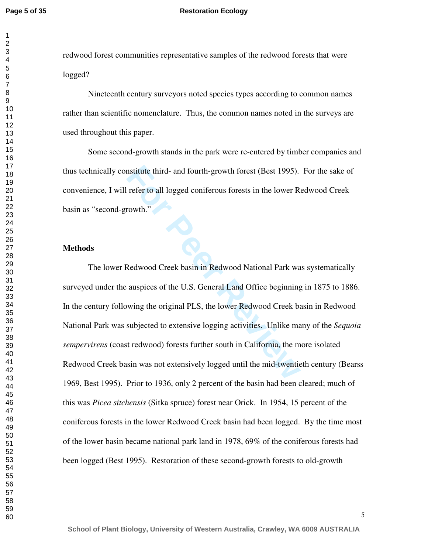$\mathbf{1}$ 

#### **Restoration Ecology**

redwood forest communities representative samples of the redwood forests that were logged?

Nineteenth century surveyors noted species types according to common names rather than scientific nomenclature. Thus, the common names noted in the surveys are used throughout this paper.

Some second-growth stands in the park were re-entered by timber companies and thus technically constitute third- and fourth-growth forest (Best 1995). For the sake of convenience, I will refer to all logged coniferous forests in the lower Redwood Creek basin as "second-growth."

#### **Methods**

Institute third- and fourth-growth forest (Best 1995).<br>
Fefer to all logged coniferous forests in the lower Revivale.<br> **For Peer Revivale 2018**<br> **Redwood Creek basin in Redwood National Park was auspices of the U.S. Genera** The lower Redwood Creek basin in Redwood National Park was systematically surveyed under the auspices of the U.S. General Land Office beginning in 1875 to 1886. In the century following the original PLS, the lower Redwood Creek basin in Redwood National Park was subjected to extensive logging activities. Unlike many of the *Sequoia sempervirens* (coast redwood) forests further south in California, the more isolated Redwood Creek basin was not extensively logged until the mid-twentieth century (Bearss 1969, Best 1995). Prior to 1936, only 2 percent of the basin had been cleared; much of this was *Picea sitchensis* (Sitka spruce) forest near Orick. In 1954, 15 percent of the coniferous forests in the lower Redwood Creek basin had been logged. By the time most of the lower basin became national park land in 1978, 69% of the coniferous forests had been logged (Best 1995). Restoration of these second-growth forests to old-growth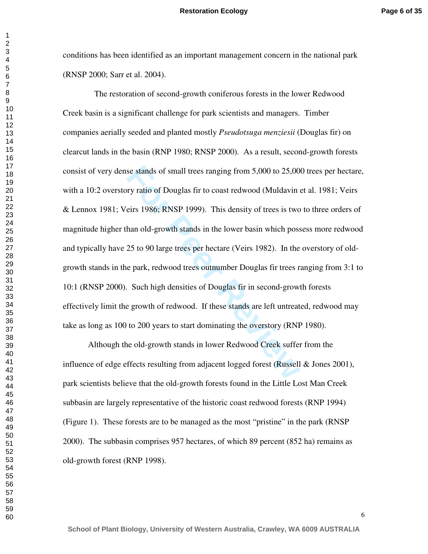conditions has been identified as an important management concern in the national park (RNSP 2000; Sarr et al. 2004).

se stands of small trees ranging from 5,000 to 25,00<br>pry ratio of Douglas fir to coast redwood (Muldavin eirs 1986; RNSP 1999). This density of trees is two<br>han old-growth stands in the lower basin which pose<br>25 to 90 larg The restoration of second-growth coniferous forests in the lower Redwood Creek basin is a significant challenge for park scientists and managers. Timber companies aerially seeded and planted mostly *Pseudotsuga menziesii* (Douglas fir) on clearcut lands in the basin (RNP 1980; RNSP 2000). As a result, second-growth forests consist of very dense stands of small trees ranging from 5,000 to 25,000 trees per hectare, with a 10:2 overstory ratio of Douglas fir to coast redwood (Muldavin et al. 1981; Veirs & Lennox 1981; Veirs 1986; RNSP 1999). This density of trees is two to three orders of magnitude higher than old-growth stands in the lower basin which possess more redwood and typically have 25 to 90 large trees per hectare (Veirs 1982). In the overstory of oldgrowth stands in the park, redwood trees outnumber Douglas fir trees ranging from 3:1 to 10:1 (RNSP 2000). Such high densities of Douglas fir in second-growth forests effectively limit the growth of redwood. If these stands are left untreated, redwood may take as long as 100 to 200 years to start dominating the overstory (RNP 1980).

Although the old-growth stands in lower Redwood Creek suffer from the influence of edge effects resulting from adjacent logged forest (Russell & Jones 2001), park scientists believe that the old-growth forests found in the Little Lost Man Creek subbasin are largely representative of the historic coast redwood forests (RNP 1994) (Figure 1). These forests are to be managed as the most "pristine" in the park (RNSP 2000). The subbasin comprises 957 hectares, of which 89 percent (852 ha) remains as old-growth forest (RNP 1998).

 $\mathbf{1}$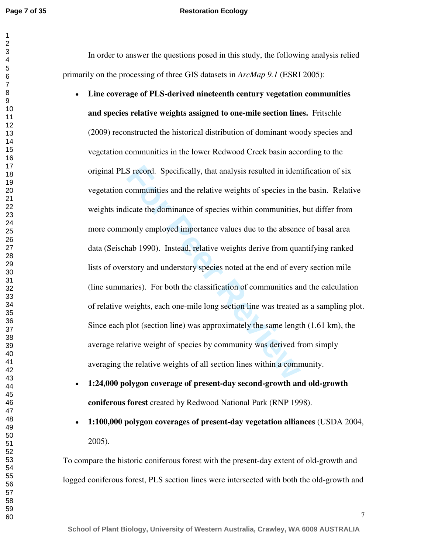**Page 7 of 35**

#### **Restoration Ecology**

In order to answer the questions posed in this study, the following analysis relied primarily on the processing of three GIS datasets in *ArcMap 9.1* (ESRI 2005):

- S record. Specifically, that analysis resulted in ident<br>communities and the relative weights of species in th<br>icate the dominance of species within communities,<br>nonly employed importance values due to the absence<br>nab 1990) • **Line coverage of PLS-derived nineteenth century vegetation communities and species relative weights assigned to one-mile section lines.** Fritschle (2009) reconstructed the historical distribution of dominant woody species and vegetation communities in the lower Redwood Creek basin according to the original PLS record. Specifically, that analysis resulted in identification of six vegetation communities and the relative weights of species in the basin. Relative weights indicate the dominance of species within communities, but differ from more commonly employed importance values due to the absence of basal area data (Seischab 1990). Instead, relative weights derive from quantifying ranked lists of overstory and understory species noted at the end of every section mile (line summaries). For both the classification of communities and the calculation of relative weights, each one-mile long section line was treated as a sampling plot. Since each plot (section line) was approximately the same length (1.61 km), the average relative weight of species by community was derived from simply averaging the relative weights of all section lines within a community.
- **1:24,000 polygon coverage of present-day second-growth and old-growth coniferous forest** created by Redwood National Park (RNP 1998).
- **1:100,000 polygon coverages of present-day vegetation alliances** (USDA 2004, 2005).

To compare the historic coniferous forest with the present-day extent of old-growth and logged coniferous forest, PLS section lines were intersected with both the old-growth and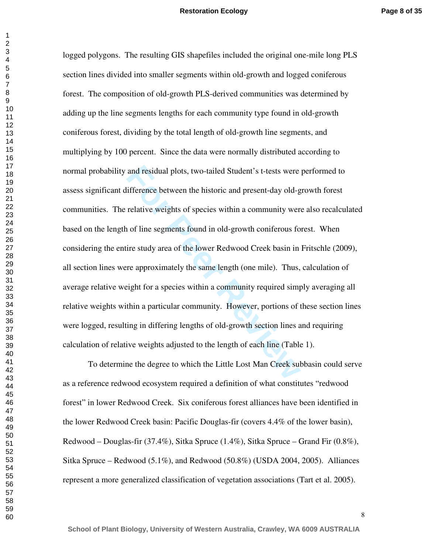and residual plots, two-tailed Student's t-tests were<br>ifference between the historic and present-day old-g<br>relative weights of species within a community were<br>in of line segments found in old-growth coniferous fo<br>ire study logged polygons. The resulting GIS shapefiles included the original one-mile long PLS section lines divided into smaller segments within old-growth and logged coniferous forest. The composition of old-growth PLS-derived communities was determined by adding up the line segments lengths for each community type found in old-growth coniferous forest, dividing by the total length of old-growth line segments, and multiplying by 100 percent. Since the data were normally distributed according to normal probability and residual plots, two-tailed Student's t-tests were performed to assess significant difference between the historic and present-day old-growth forest communities. The relative weights of species within a community were also recalculated based on the length of line segments found in old-growth coniferous forest. When considering the entire study area of the lower Redwood Creek basin in Fritschle (2009), all section lines were approximately the same length (one mile). Thus, calculation of average relative weight for a species within a community required simply averaging all relative weights within a particular community. However, portions of these section lines were logged, resulting in differing lengths of old-growth section lines and requiring calculation of relative weights adjusted to the length of each line (Table 1).

 To determine the degree to which the Little Lost Man Creek subbasin could serve as a reference redwood ecosystem required a definition of what constitutes "redwood forest" in lower Redwood Creek. Six coniferous forest alliances have been identified in the lower Redwood Creek basin: Pacific Douglas-fir (covers 4.4% of the lower basin), Redwood – Douglas-fir (37.4%), Sitka Spruce (1.4%), Sitka Spruce – Grand Fir (0.8%), Sitka Spruce – Redwood  $(5.1\%)$ , and Redwood  $(50.8\%)$  (USDA 2004, 2005). Alliances represent a more generalized classification of vegetation associations (Tart et al. 2005).

**School of Plant Biology, University of Western Australia, Crawley, WA 6009 AUSTRALIA**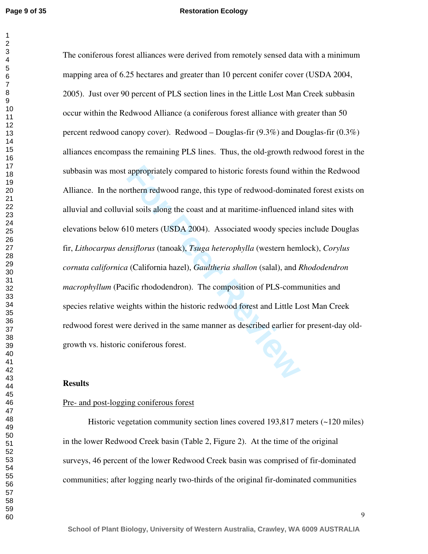appropriately compared to historic forests found with<br>thern redwood range, this type of redwood-domina<br>ial soils along the coast and at maritime-influenced if<br>10 meters (USDA 2004). Associated woody species<br>nsiflorus (tano The coniferous forest alliances were derived from remotely sensed data with a minimum mapping area of 6.25 hectares and greater than 10 percent conifer cover (USDA 2004, 2005). Just over 90 percent of PLS section lines in the Little Lost Man Creek subbasin occur within the Redwood Alliance (a coniferous forest alliance with greater than 50 percent redwood canopy cover). Redwood – Douglas-fir  $(9.3\%)$  and Douglas-fir  $(0.3\%)$ alliances encompass the remaining PLS lines. Thus, the old-growth redwood forest in the subbasin was most appropriately compared to historic forests found within the Redwood Alliance. In the northern redwood range, this type of redwood *-*dominated forest exists on alluvial and colluvial soils along the coast and at maritime-influenced inland sites with elevations below 610 meters (USDA 2004). Associated woody species include Douglas fir, *Lithocarpus densiflorus* (tanoak), *Tsuga heterophylla* (western hemlock), *Corylus cornuta californica* (California hazel), *Gaultheria shallon* (salal), and *Rhododendron macrophyllum* (Pacific rhododendron). The composition of PLS-communities and species relative weights within the historic redwood forest and Little Lost Man Creek redwood forest were derived in the same manner as described earlier for present-day oldgrowth vs. historic coniferous forest.

#### **Results**

#### Pre- and post-logging coniferous forest

Historic vegetation community section lines covered 193,817 meters (~120 miles) in the lower Redwood Creek basin (Table 2, Figure 2). At the time of the original surveys, 46 percent of the lower Redwood Creek basin was comprised of fir-dominated communities; after logging nearly two-thirds of the original fir-dominated communities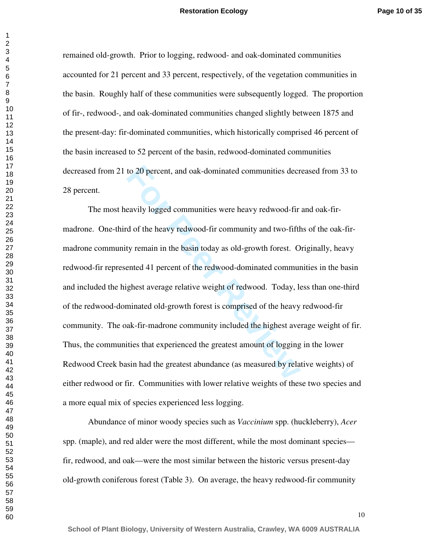remained old-growth. Prior to logging, redwood- and oak-dominated communities accounted for 21 percent and 33 percent, respectively, of the vegetation communities in the basin. Roughly half of these communities were subsequently logged. The proportion of fir-, redwood-, and oak-dominated communities changed slightly between 1875 and the present-day: fir-dominated communities, which historically comprised 46 percent of the basin increased to 52 percent of the basin, redwood-dominated communities decreased from 21 to 20 percent, and oak-dominated communities decreased from 33 to 28 percent.

to 20 percent, and oak-dominated communities decreased and the search of the heavy redwood-fir do f the heavy redwood-fir community and two-fifth ty remain in the basin today as old-growth forest. On ented 41 percent of th The most heavily logged communities were heavy redwood-fir and oak-firmadrone. One-third of the heavy redwood-fir community and two-fifths of the oak-fir madrone community remain in the basin today as old-growth forest. Originally, heavy redwood-fir represented 41 percent of the redwood-dominated communities in the basin and included the highest average relative weight of redwood. Today, less than one-third of the redwood-dominated old-growth forest is comprised of the heavy redwood-fir community. The oak-fir-madrone community included the highest average weight of fir. Thus, the communities that experienced the greatest amount of logging in the lower Redwood Creek basin had the greatest abundance (as measured by relative weights) of either redwood or fir. Communities with lower relative weights of these two species and a more equal mix of species experienced less logging.

 Abundance of minor woody species such as *Vaccinium* spp. (huckleberry), *Acer*  spp. (maple), and red alder were the most different, while the most dominant species fir, redwood, and oak—were the most similar between the historic versus present-day old-growth coniferous forest (Table 3). On average, the heavy redwood-fir community

**School of Plant Biology, University of Western Australia, Crawley, WA 6009 AUSTRALIA**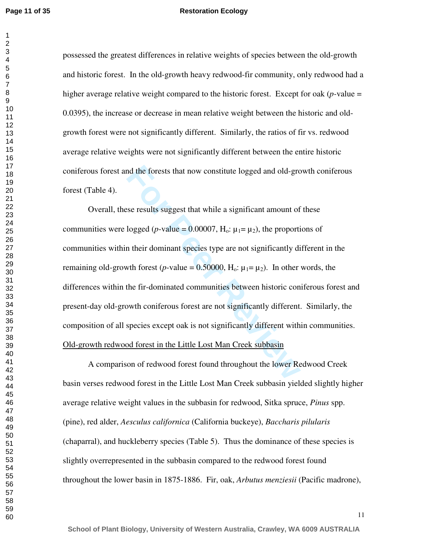possessed the greatest differences in relative weights of species between the old-growth and historic forest. In the old-growth heavy redwood-fir community, only redwood had a higher average relative weight compared to the historic forest. Except for oak (*p-*value = 0.0395), the increase or decrease in mean relative weight between the historic and oldgrowth forest were not significantly different. Similarly, the ratios of fir vs. redwood average relative weights were not significantly different between the entire historic coniferous forest and the forests that now constitute logged and old-growth coniferous forest (Table 4).

and the forests that now constitute logged and old-growth<br>ses results suggest that while a significant amount of<br>logged (*p*-value = 0.00007, H<sub>o</sub>:  $\mu_1 = \mu_2$ ), the proportin<br>the independent species type are not signific Overall, these results suggest that while a significant amount of these communities were logged (*p*-value = 0.00007,  $H_0$ :  $\mu_1 = \mu_2$ ), the proportions of communities within their dominant species type are not significantly different in the remaining old-growth forest (*p*-value =  $0.50000$ , H<sub>o</sub>:  $\mu_1 = \mu_2$ ). In other words, the differences within the fir-dominated communities between historic coniferous forest and present-day old-growth coniferous forest are not significantly different. Similarly, the composition of all species except oak is not significantly different within communities. Old-growth redwood forest in the Little Lost Man Creek subbasin

 A comparison of redwood forest found throughout the lower Redwood Creek basin verses redwood forest in the Little Lost Man Creek subbasin yielded slightly higher average relative weight values in the subbasin for redwood, Sitka spruce, *Pinus* spp. (pine), red alder, *Aesculus californica* (California buckeye), *Baccharis pilularis* (chaparral), and huckleberry species (Table 5). Thus the dominance of these species is slightly overrepresented in the subbasin compared to the redwood forest found throughout the lower basin in 1875-1886. Fir, oak, *Arbutus menziesii* (Pacific madrone),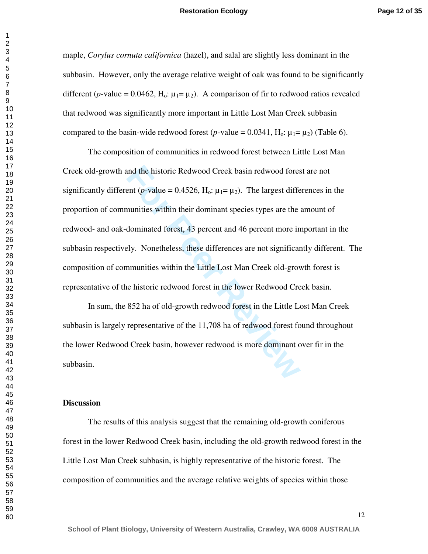maple, *Corylus cornuta californica* (hazel), and salal are slightly less dominant in the subbasin. However, only the average relative weight of oak was found to be significantly different (*p*-value = 0.0462, H<sub>0</sub>:  $\mu_1 = \mu_2$ ). A comparison of fir to redwood ratios revealed that redwood was significantly more important in Little Lost Man Creek subbasin compared to the basin-wide redwood forest (*p*-value =  $0.0341$ , H<sub>o</sub>:  $\mu_1 = \mu_2$ ) (Table 6).

and the historic Redwood Creek basin redwood fores<br>ent (*p*-value = 0.4526, H<sub>o</sub>:  $\mu_1$ =  $\mu_2$ ). The largest different munities within their dominant species types are the idominated forest, 43 percent and 46 percent mo The composition of communities in redwood forest between Little Lost Man Creek old-growth and the historic Redwood Creek basin redwood forest are not significantly different (*p*-value = 0.4526,  $H_0$ :  $\mu_1 = \mu_2$ ). The largest differences in the proportion of communities within their dominant species types are the amount of redwood- and oak-dominated forest, 43 percent and 46 percent more important in the subbasin respectively. Nonetheless, these differences are not significantly different. The composition of communities within the Little Lost Man Creek old-growth forest is representative of the historic redwood forest in the lower Redwood Creek basin.

In sum, the 852 ha of old-growth redwood forest in the Little Lost Man Creek subbasin is largely representative of the 11,708 ha of redwood forest found throughout the lower Redwood Creek basin, however redwood is more dominant over fir in the subbasin.

#### **Discussion**

 The results of this analysis suggest that the remaining old-growth coniferous forest in the lower Redwood Creek basin, including the old-growth redwood forest in the Little Lost Man Creek subbasin, is highly representative of the historic forest. The composition of communities and the average relative weights of species within those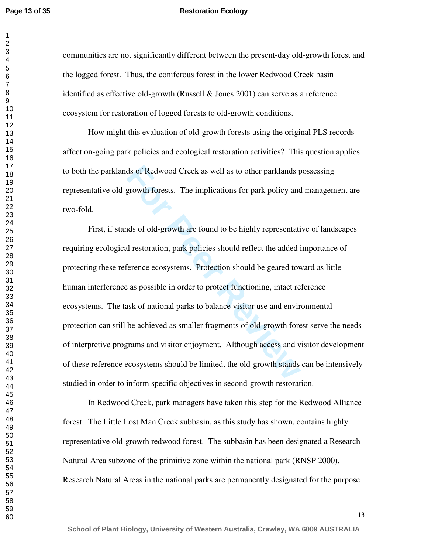#### **Restoration Ecology**

communities are not significantly different between the present-day old-growth forest and the logged forest. Thus, the coniferous forest in the lower Redwood Creek basin identified as effective old-growth (Russell  $\&$  Jones 2001) can serve as a reference ecosystem for restoration of logged forests to old-growth conditions.

How might this evaluation of old-growth forests using the original PLS records affect on-going park policies and ecological restoration activities? This question applies to both the parklands of Redwood Creek as well as to other parklands possessing representative old-growth forests. The implications for park policy and management are two-fold.

ds of Redwood Creek as well as to other parklands promum forests. The implications for park policy and<br>growth forests. The implications for park policy and<br>ds of old-growth are found to be highly representation<br>derivation, First, if stands of old-growth are found to be highly representative of landscapes requiring ecological restoration, park policies should reflect the added importance of protecting these reference ecosystems. Protection should be geared toward as little human interference as possible in order to protect functioning, intact reference ecosystems. The task of national parks to balance visitor use and environmental protection can still be achieved as smaller fragments of old-growth forest serve the needs of interpretive programs and visitor enjoyment. Although access and visitor development of these reference ecosystems should be limited, the old-growth stands can be intensively studied in order to inform specific objectives in second-growth restoration.

In Redwood Creek, park managers have taken this step for the Redwood Alliance forest. The Little Lost Man Creek subbasin, as this study has shown, contains highly representative old-growth redwood forest. The subbasin has been designated a Research Natural Area subzone of the primitive zone within the national park (RNSP 2000). Research Natural Areas in the national parks are permanently designated for the purpose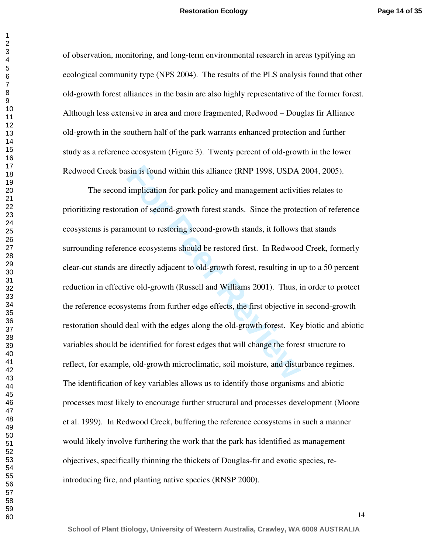of observation, monitoring, and long-term environmental research in areas typifying an ecological community type (NPS 2004). The results of the PLS analysis found that other old-growth forest alliances in the basin are also highly representative of the former forest. Although less extensive in area and more fragmented, Redwood – Douglas fir Alliance old-growth in the southern half of the park warrants enhanced protection and further study as a reference ecosystem (Figure 3). Twenty percent of old-growth in the lower Redwood Creek basin is found within this alliance (RNP 1998, USDA 2004, 2005).

sin is found within this alliance (RNP 1998, USDA<br>implication for park policy and management activit<br>tion of second-growth forest stands. Since the prote<br>mount to restoring second-growth stands, it follows<br>ace ecosystems s The second implication for park policy and management activities relates to prioritizing restoration of second-growth forest stands. Since the protection of reference ecosystems is paramount to restoring second-growth stands, it follows that stands surrounding reference ecosystems should be restored first. In Redwood Creek, formerly clear-cut stands are directly adjacent to old-growth forest, resulting in up to a 50 percent reduction in effective old-growth (Russell and Williams 2001). Thus, in order to protect the reference ecosystems from further edge effects, the first objective in second-growth restoration should deal with the edges along the old-growth forest. Key biotic and abiotic variables should be identified for forest edges that will change the forest structure to reflect, for example, old-growth microclimatic, soil moisture, and disturbance regimes. The identification of key variables allows us to identify those organisms and abiotic processes most likely to encourage further structural and processes development (Moore et al. 1999). In Redwood Creek, buffering the reference ecosystems in such a manner would likely involve furthering the work that the park has identified as management objectives, specifically thinning the thickets of Douglas-fir and exotic species, reintroducing fire, and planting native species (RNSP 2000).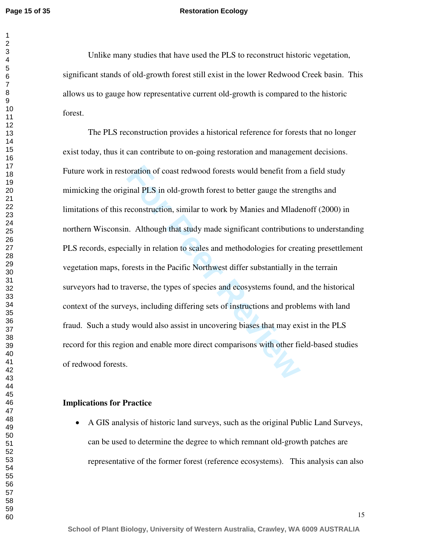#### **Restoration Ecology**

Unlike many studies that have used the PLS to reconstruct historic vegetation, significant stands of old-growth forest still exist in the lower Redwood Creek basin. This allows us to gauge how representative current old-growth is compared to the historic forest.

oration of coast redwood forests would benefit from<br>
Final PLS in old-growth forest to better gauge the stre<br>
Free<br>
Free econstruction, similar to work by Manies and Mlade<br>
1. Although that study made significant contribut The PLS reconstruction provides a historical reference for forests that no longer exist today, thus it can contribute to on-going restoration and management decisions. Future work in restoration of coast redwood forests would benefit from a field study mimicking the original PLS in old-growth forest to better gauge the strengths and limitations of this reconstruction, similar to work by Manies and Mladenoff (2000) in northern Wisconsin. Although that study made significant contributions to understanding PLS records, especially in relation to scales and methodologies for creating presettlement vegetation maps, forests in the Pacific Northwest differ substantially in the terrain surveyors had to traverse, the types of species and ecosystems found, and the historical context of the surveys, including differing sets of instructions and problems with land fraud. Such a study would also assist in uncovering biases that may exist in the PLS record for this region and enable more direct comparisons with other field-based studies of redwood forests.

#### **Implications for Practice**

• A GIS analysis of historic land surveys, such as the original Public Land Surveys, can be used to determine the degree to which remnant old-growth patches are representative of the former forest (reference ecosystems). This analysis can also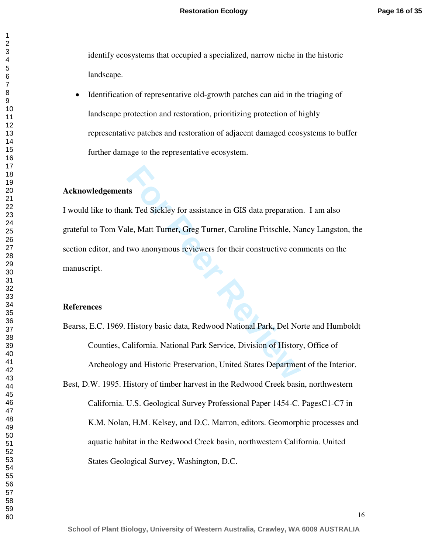identify ecosystems that occupied a specialized, narrow niche in the historic landscape.

• Identification of representative old-growth patches can aid in the triaging of landscape protection and restoration, prioritizing protection of highly representative patches and restoration of adjacent damaged ecosystems to buffer further damage to the representative ecosystem.

#### **Acknowledgements**

**Example 18 Since 2013**<br>
In GMs data preparation<br>
I.e., Matt Turner, Greg Turner, Caroline Fritschle, Nat<br>
Itwo anonymous reviewers for their constructive con<br>
I.e., Matter Constructive Constructive Constant<br>
I.e., Matter I would like to thank Ted Sickley for assistance in GIS data preparation. I am also grateful to Tom Vale, Matt Turner, Greg Turner, Caroline Fritschle, Nancy Langston, the section editor, and two anonymous reviewers for their constructive comments on the manuscript.

#### **References**

- Bearss, E.C. 1969. History basic data, Redwood National Park, Del Norte and Humboldt Counties, California. National Park Service, Division of History, Office of Archeology and Historic Preservation, United States Department of the Interior.
- Best, D.W. 1995. History of timber harvest in the Redwood Creek basin, northwestern California. U.S. Geological Survey Professional Paper 1454-C. PagesC1-C7 in K.M. Nolan, H.M. Kelsey, and D.C. Marron, editors. Geomorphic processes and aquatic habitat in the Redwood Creek basin, northwestern California. United States Geological Survey, Washington, D.C.

 $\mathbf{1}$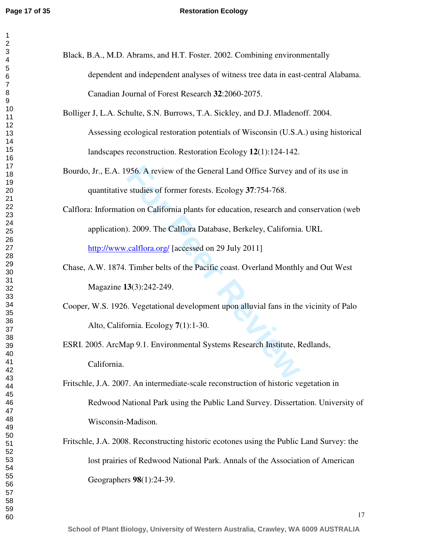| 1                                 |
|-----------------------------------|
| $\overline{c}$                    |
|                                   |
|                                   |
|                                   |
|                                   |
|                                   |
|                                   |
|                                   |
|                                   |
|                                   |
|                                   |
|                                   |
|                                   |
|                                   |
|                                   |
|                                   |
|                                   |
|                                   |
|                                   |
|                                   |
|                                   |
|                                   |
|                                   |
|                                   |
|                                   |
|                                   |
|                                   |
|                                   |
|                                   |
|                                   |
|                                   |
|                                   |
|                                   |
|                                   |
|                                   |
|                                   |
|                                   |
|                                   |
|                                   |
|                                   |
| 40                                |
|                                   |
| $\ddagger$<br>1                   |
| $\overline{4}$                    |
| 4.<br>ļ                           |
| 44                                |
| 45                                |
| 46                                |
| 47                                |
| 48                                |
| 49                                |
| 50                                |
| $\overline{\mathbf{5}}$<br>1<br>ť |
| .<br>52                           |
| 5<br>X<br>3                       |
| 54                                |
|                                   |
| 55                                |
| 56<br>ć                           |
| ć<br>57                           |
| 58                                |
| 59                                |
| 60                                |

- Black, B.A., M.D. Abrams, and H.T. Foster. 2002. Combining environmentally dependent and independent analyses of witness tree data in east-central Alabama. Canadian Journal of Forest Research **32**:2060-2075.
- Bolliger J, L.A. Schulte, S.N. Burrows, T.A. Sickley, and D.J. Mladenoff. 2004. Assessing ecological restoration potentials of Wisconsin (U.S.A.) using historical landscapes reconstruction. Restoration Ecology **12**(1):124-142.
- Bourdo, Jr., E.A. 1956. A review of the General Land Office Survey and of its use in quantitative studies of former forests. Ecology **37**:754-768.
- 956. A review of the General Land Office Survey ar<br>
studies of former forests. Ecology 37:754-768.<br>
on on California plants for education, research and c<br>
1. 2009. The Calflora Database, Berkeley, California<br>
<u>calflora.org</u> Calflora: Information on California plants for education, research and conservation (web application). 2009. The Calflora Database, Berkeley, California. URL <http://www.calflora.org/> [accessed on 29 July 2011]
- Chase, A.W. 1874. Timber belts of the Pacific coast. Overland Monthly and Out West Magazine **13**(3):242-249.
- Cooper, W.S. 1926. Vegetational development upon alluvial fans in the vicinity of Palo Alto, California. Ecology **7**(1):1-30.
- ESRI. 2005. ArcMap 9.1. Environmental Systems Research Institute, Redlands, California.
- Fritschle, J.A. 2007. An intermediate-scale reconstruction of historic vegetation in Redwood National Park using the Public Land Survey. Dissertation. University of Wisconsin-Madison.
- Fritschle, J.A. 2008. Reconstructing historic ecotones using the Public Land Survey: the lost prairies of Redwood National Park. Annals of the Association of American Geographers **98**(1):24-39.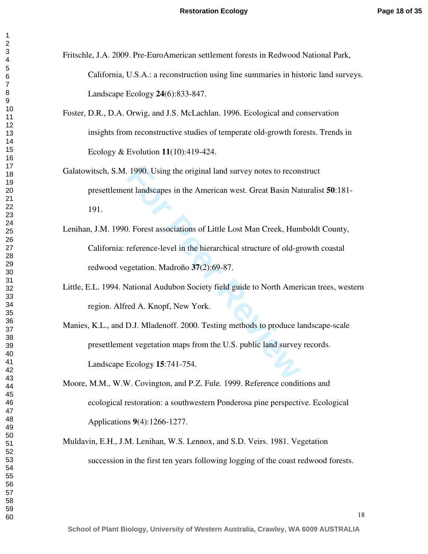- Fritschle, J.A. 2009. Pre-EuroAmerican settlement forests in Redwood National Park, California, U.S.A.: a reconstruction using line summaries in historic land surveys. Landscape Ecology **24**(6):833-847.
- Foster, D.R., D.A. Orwig, and J.S. McLachlan. 1996. Ecological and conservation insights from reconstructive studies of temperate old-growth forests. Trends in Ecology & Evolution **11**(10):419-424.
- 1990. Using the original land survey notes to recon<br>
Interactions of Little Lost Man Creek, Hun<br>
1. Forest associations of Little Lost Man Creek, Hun<br>
1. Forest associations of Little Lost Man Creek, Hun<br>
1. Forest associa Galatowitsch, S.M. 1990. Using the original land survey notes to reconstruct presettlement landscapes in the American west. Great Basin Naturalist **50**:181- 191.
- Lenihan, J.M. 1990. Forest associations of Little Lost Man Creek, Humboldt County, California: reference-level in the hierarchical structure of old-growth coastal redwood vegetation. Madroño **37**(2):69-87.
- Little, E.L. 1994. National Audubon Society field guide to North American trees, western region. Alfred A. Knopf, New York.
- Manies, K.L., and D.J. Mladenoff. 2000. Testing methods to produce landscape-scale presettlement vegetation maps from the U.S. public land survey records. Landscape Ecology **15**:741-754.
- Moore, M.M., W.W. Covington, and P.Z. Fule. 1999. Reference conditions and ecological restoration: a southwestern Ponderosa pine perspective. Ecological Applications **9**(4):1266-1277.
- Muldavin, E.H., J.M. Lenihan, W.S. Lennox, and S.D. Veirs. 1981. Vegetation succession in the first ten years following logging of the coast redwood forests.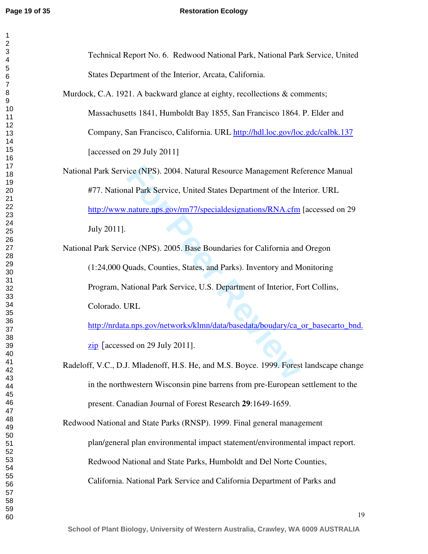#### **Page 19 of 35 Restoration Ecology**

| Technical Report No. 6. Redwood National Park, National Park Service, United           |  |
|----------------------------------------------------------------------------------------|--|
| States Department of the Interior, Arcata, California.                                 |  |
| Murdock, C.A. 1921. A backward glance at eighty, recollections & comments;             |  |
| Massachusetts 1841, Humboldt Bay 1855, San Francisco 1864. P. Elder and                |  |
| Company, San Francisco, California. URL http://hdl.loc.gov/loc.gdc/calbk.137           |  |
| [accessed on 29 July 2011]                                                             |  |
| National Park Service (NPS). 2004. Natural Resource Management Reference Manual        |  |
| #77. National Park Service, United States Department of the Interior. URL              |  |
| http://www.nature.nps.gov/rm77/specialdesignations/RNA.cfm [accessed on 29             |  |
| July 2011].                                                                            |  |
| National Park Service (NPS). 2005. Base Boundaries for California and Oregon           |  |
| (1:24,000 Quads, Counties, States, and Parks). Inventory and Monitoring                |  |
| Program, National Park Service, U.S. Department of Interior, Fort Collins,             |  |
| Colorado. URL                                                                          |  |
| http://nrdata.nps.gov/networks/klmn/data/basedata/boudary/ca_or_basecarto_bnd.         |  |
| $\overline{zip}$ [accessed on 29 July 2011].                                           |  |
| Radeloff, V.C., D.J. Mladenoff, H.S. He, and M.S. Boyce. 1999. Forest landscape change |  |
| in the northwestern Wisconsin pine barrens from pre-European settlement to the         |  |
| present. Canadian Journal of Forest Research 29:1649-1659.                             |  |
| Redwood National and State Parks (RNSP). 1999. Final general management                |  |
| plan/general plan environmental impact statement/environmental impact report.          |  |
| Redwood National and State Parks, Humboldt and Del Norte Counties,                     |  |
| California. National Park Service and California Department of Parks and               |  |
|                                                                                        |  |
| 19                                                                                     |  |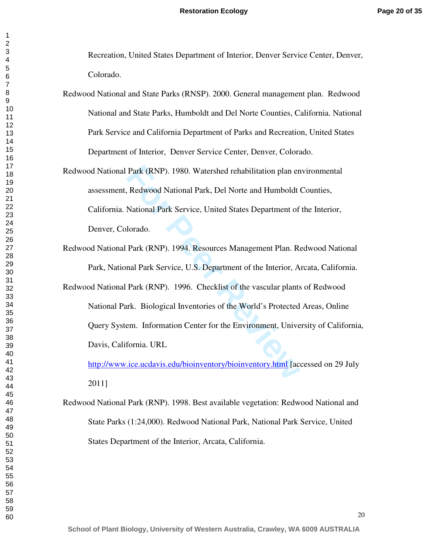Recreation, United States Department of Interior, Denver Service Center, Denver, Colorado.

- Redwood National and State Parks (RNSP). 2000. General management plan. Redwood National and State Parks, Humboldt and Del Norte Counties, California. National Park Service and California Department of Parks and Recreation, United States Department of Interior, Denver Service Center, Denver, Colorado.
- Park (RNP). 1980. Watershed rehabilitation plan en<br>Redwood National Park, Del Norte and Humboldt<br>National Park Service, United States Department of<br>Iorado.<br>Park (RNP). 1994. Resources Management Plan. Re<br>nal Park Service, Redwood National Park (RNP). 1980. Watershed rehabilitation plan environmental assessment, Redwood National Park, Del Norte and Humboldt Counties, California. National Park Service, United States Department of the Interior, Denver, Colorado.
- Redwood National Park (RNP). 1994. Resources Management Plan. Redwood National Park, National Park Service, U.S. Department of the Interior, Arcata, California.
- Redwood National Park (RNP). 1996. Checklist of the vascular plants of Redwood National Park. Biological Inventories of the World's Protected Areas, Online Query System. Information Center for the Environment, University of California, Davis, California. URL

<http://www.ice.ucdavis.edu/bioinventory/bioinventory.html> [accessed on 29 July 2011]

Redwood National Park (RNP). 1998. Best available vegetation: Redwood National and State Parks (1:24,000). Redwood National Park, National Park Service, United States Department of the Interior, Arcata, California.

 $\mathbf{1}$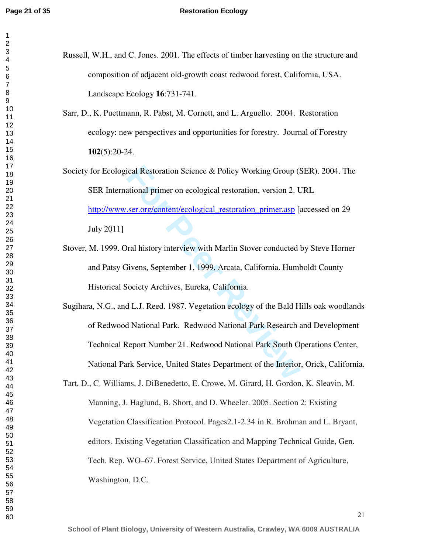- Russell, W.H., and C. Jones. 2001. The effects of timber harvesting on the structure and composition of adjacent old-growth coast redwood forest, California, USA. Landscape Ecology **16**:731-741.
	- Sarr, D., K. Puettmann, R. Pabst, M. Cornett, and L. Arguello. 2004. Restoration ecology: new perspectives and opportunities for forestry. Journal of Forestry (5):20-24.
	- ical Restoration Science & Policy Working Group (Stational primer on ecological restoration, version 2. L<br>
	<u>ser.org/content/ecological restoration primer.asp</u> [and the transference]<br>
	For Preview with Marlin Stover conducte Society for Ecological Restoration Science & Policy Working Group (SER). 2004. The SER International primer on ecological restoration, version 2. URL http://www.ser.org/content/ecological restoration primer.asp [accessed on 29 July 2011]
	- Stover, M. 1999. Oral history interview with Marlin Stover conducted by Steve Horner and Patsy Givens, September 1, 1999, Arcata, California. Humboldt County Historical Society Archives, Eureka, California.
	- Sugihara, N.G., and L.J. Reed. 1987. Vegetation ecology of the Bald Hills oak woodlands of Redwood National Park. Redwood National Park Research and Development Technical Report Number 21. Redwood National Park South Operations Center, National Park Service, United States Department of the Interior, Orick, California.
	- Tart, D., C. Williams, J. DiBenedetto, E. Crowe, M. Girard, H. Gordon, K. Sleavin, M. Manning, J. Haglund, B. Short, and D. Wheeler. 2005. Section 2: Existing Vegetation Classification Protocol. Pages2.1-2.34 in R. Brohman and L. Bryant, editors. Existing Vegetation Classification and Mapping Technical Guide, Gen. Tech. Rep. WO–67. Forest Service, United States Department of Agriculture, Washington, D.C.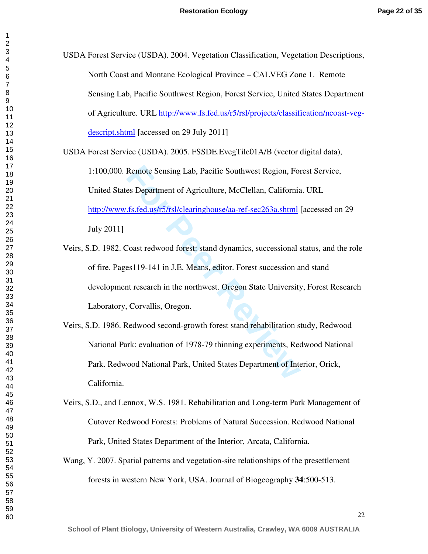| USDA Forest Service (USDA). 2004. Vegetation Classification, Vegetation Descriptions, |
|---------------------------------------------------------------------------------------|
| North Coast and Montane Ecological Province – CALVEG Zone 1. Remote                   |
| Sensing Lab, Pacific Southwest Region, Forest Service, United States Department       |
| of Agriculture. URL http://www.fs.fed.us/r5/rsl/projects/classification/ncoast-veg-   |
| descript.shtml [accessed on 29 July 2011]                                             |
| USDA Forest Service (USDA). 2005. FSSDE. EvegTile01A/B (vector digital data),         |
| 1:100,000. Remote Sensing Lab, Pacific Southwest Region, Forest Service,              |
| United States Department of Agriculture, McClellan, California. URL                   |
| http://www.fs.fed.us/r5/rsl/clearinghouse/aa-ref-sec263a.shtml [accessed on 29        |

July 2011]

Remote Sensing Lab, Pacific Southwest Region, Fores Department of Agriculture, McClellan, California<br>
<u>F.s.fed.us/r5/rsl/clearinghouse/aa-ref-sec263a.shtml</u><br>
Coast redwood forest: stand dynamics, successional ses<br>
119-141 Veirs, S.D. 1982. Coast redwood forest: stand dynamics, successional status, and the role of fire. Pages119-141 in J.E. Means, editor. Forest succession and stand development research in the northwest. Oregon State University, Forest Research Laboratory, Corvallis, Oregon.

- Veirs, S.D. 1986. Redwood second-growth forest stand rehabilitation study, Redwood National Park: evaluation of 1978-79 thinning experiments, Redwood National Park. Redwood National Park, United States Department of Interior, Orick, California.
- Veirs, S.D., and Lennox, W.S. 1981. Rehabilitation and Long-term Park Management of Cutover Redwood Forests: Problems of Natural Succession. Redwood National Park, United States Department of the Interior, Arcata, California.
- Wang, Y. 2007. Spatial patterns and vegetation-site relationships of the presettlement forests in western New York, USA. Journal of Biogeography **34**:500-513.

 $\mathbf{1}$  $\overline{2}$  $\overline{\mathbf{4}}$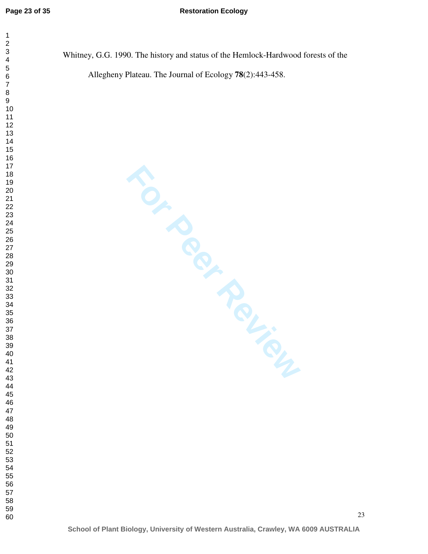$\mathbf{1}$  $\overline{2}$ 

#### **Restoration Ecology**

Whitney, G.G. 1990. The history and status of the Hemlock-Hardwood forests of the Allegheny Plateau. The Journal of Ecology **78**(2):443-458.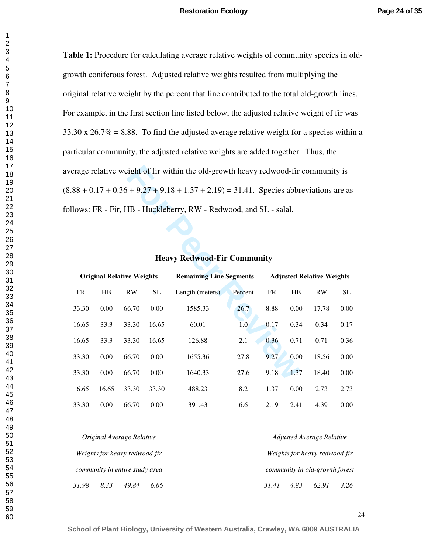$\mathbf{1}$ 

**Table 1:** Procedure for calculating average relative weights of community species in oldgrowth coniferous forest. Adjusted relative weights resulted from multiplying the original relative weight by the percent that line contributed to the total old-growth lines. For example, in the first section line listed below, the adjusted relative weight of fir was  $33.30 \times 26.7\% = 8.88$ . To find the adjusted average relative weight for a species within a particular community, the adjusted relative weights are added together. Thus, the average relative weight of fir within the old-growth heavy redwood-fir community is  $(8.88 + 0.17 + 0.36 + 9.27 + 9.18 + 1.37 + 2.19) = 31.41$ . Species abbreviations are as follows: FR - Fir, HB - Huckleberry, RW - Redwood, and SL - salal.

|                                                                                                        |       |       |           | verage relative weight of fir within the old-growth heavy redwood-fir community is     |         |      |      |       |                     |  |  |
|--------------------------------------------------------------------------------------------------------|-------|-------|-----------|----------------------------------------------------------------------------------------|---------|------|------|-------|---------------------|--|--|
|                                                                                                        |       |       |           | $6.88 + 0.17 + 0.36 + 9.27 + 9.18 + 1.37 + 2.19$ = 31.41. Species abbreviations are as |         |      |      |       |                     |  |  |
|                                                                                                        |       |       |           | ollows: FR - Fir, HB - Huckleberry, RW - Redwood, and SL - salal.                      |         |      |      |       |                     |  |  |
|                                                                                                        |       |       |           |                                                                                        |         |      |      |       |                     |  |  |
|                                                                                                        |       |       |           |                                                                                        |         |      |      |       |                     |  |  |
|                                                                                                        |       |       |           | <b>Heavy Redwood-Fir Community</b>                                                     |         |      |      |       |                     |  |  |
| <b>Remaining Line Segments</b><br><b>Original Relative Weights</b><br><b>Adjusted Relative Weights</b> |       |       |           |                                                                                        |         |      |      |       |                     |  |  |
| FR                                                                                                     | HB    | RW    | <b>SL</b> | Length (meters)                                                                        | Percent | FR   | HB   | RW    | $\operatorname{SL}$ |  |  |
| 33.30                                                                                                  | 0.00  | 66.70 | 0.00      | 1585.33                                                                                | 26.7    | 8.88 | 0.00 | 17.78 | 0.00                |  |  |
| 16.65                                                                                                  | 33.3  | 33.30 | 16.65     | 60.01                                                                                  | 1.0     | 0.17 | 0.34 | 0.34  | 0.17                |  |  |
| 16.65                                                                                                  | 33.3  | 33.30 | 16.65     | 126.88                                                                                 | 2.1     | 0.36 | 0.71 | 0.71  | 0.36                |  |  |
| 33.30                                                                                                  | 0.00  | 66.70 | 0.00      | 1655.36                                                                                | 27.8    | 9.27 | 0.00 | 18.56 | 0.00                |  |  |
| 33.30                                                                                                  | 0.00  | 66.70 | 0.00      | 1640.33                                                                                | 27.6    | 9.18 | 1.37 | 18.40 | 0.00                |  |  |
| 16.65                                                                                                  | 16.65 | 33.30 | 33.30     | 488.23                                                                                 | 8.2     | 1.37 | 0.00 | 2.73  | 2.73                |  |  |
| 33.30                                                                                                  | 0.00  | 66.70 | 0.00      | 391.43                                                                                 | 6.6     | 2.19 | 2.41 | 4.39  | 0.00                |  |  |

## **Heavy Redwood-Fir Community**

|       |      | Original Average Relative      |      |  |       |      | Adjusted Average Relative      |      |
|-------|------|--------------------------------|------|--|-------|------|--------------------------------|------|
|       |      | Weights for heavy redwood-fir  |      |  |       |      | Weights for heavy redwood-fir  |      |
|       |      | community in entire study area |      |  |       |      | community in old-growth forest |      |
| 31.98 | 8.33 | 49.84                          | 6.66 |  | 31.41 | 4.83 | 62.91                          | 3.26 |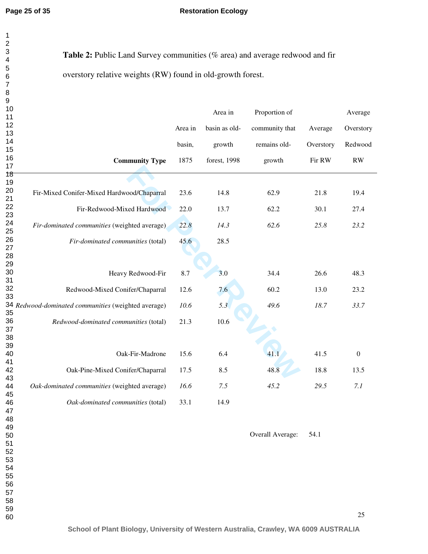#### **Restoration Ecology**

| $\mathbf{1}$            |                                                                              |         |               |                |           |                  |
|-------------------------|------------------------------------------------------------------------------|---------|---------------|----------------|-----------|------------------|
| $\overline{\mathbf{c}}$ |                                                                              |         |               |                |           |                  |
| 3                       |                                                                              |         |               |                |           |                  |
| 4                       | Table 2: Public Land Survey communities (% area) and average redwood and fir |         |               |                |           |                  |
| 5                       |                                                                              |         |               |                |           |                  |
| 6                       | overstory relative weights (RW) found in old-growth forest.                  |         |               |                |           |                  |
| $\overline{7}$          |                                                                              |         |               |                |           |                  |
| 8                       |                                                                              |         |               |                |           |                  |
| $\boldsymbol{9}$        |                                                                              |         |               |                |           |                  |
| 10                      |                                                                              |         |               |                |           |                  |
| 11                      |                                                                              |         | Area in       | Proportion of  |           | Average          |
| 12                      |                                                                              |         |               |                |           |                  |
| 13                      |                                                                              | Area in | basin as old- | community that | Average   | Overstory        |
| 14                      |                                                                              |         |               |                |           |                  |
| 15                      |                                                                              | basin,  | growth        | remains old-   | Overstory | Redwood          |
| 16                      |                                                                              |         |               |                |           |                  |
| 17                      | <b>Community Type</b>                                                        | 1875    | forest, 1998  | growth         | Fir RW    | RW               |
|                         |                                                                              |         |               |                |           |                  |
| 18<br>19                |                                                                              |         |               |                |           |                  |
|                         |                                                                              |         |               |                |           |                  |
| 20                      | Fir-Mixed Conifer-Mixed Hardwood/Chaparral                                   | 23.6    | 14.8          | 62.9           | 21.8      | 19.4             |
| 21                      |                                                                              |         |               |                |           |                  |
| 22                      | Fir-Redwood-Mixed Hardwood                                                   | 22.0    | 13.7          | 62.2           | 30.1      | 27.4             |
| 23                      |                                                                              |         |               |                |           |                  |
| 24                      | Fir-dominated communities (weighted average)                                 | 22.8    | 14.3          | 62.6           | 25.8      | 23.2             |
| 25                      |                                                                              |         |               |                |           |                  |
| 26                      | Fir-dominated communities (total)                                            | 45.6    | 28.5          |                |           |                  |
| 27                      |                                                                              |         |               |                |           |                  |
| 28                      |                                                                              |         |               |                |           |                  |
| 29                      |                                                                              |         |               |                |           |                  |
| 30                      | Heavy Redwood-Fir                                                            | 8.7     | 3.0           | 34.4           | 26.6      | 48.3             |
| 31                      |                                                                              |         |               |                |           |                  |
| 32                      | Redwood-Mixed Conifer/Chaparral                                              | 12.6    | 7.6           | 60.2           | 13.0      | 23.2             |
| 33                      |                                                                              |         |               |                |           |                  |
|                         | 34 Redwood-dominated communities (weighted average)                          | 10.6    | 5.3           | 49.6           | 18.7      | 33.7             |
| 35                      |                                                                              |         |               |                |           |                  |
| 36                      | Redwood-dominated communities (total)                                        | 21.3    | 10.6          |                |           |                  |
| 37                      |                                                                              |         |               |                |           |                  |
| 38                      |                                                                              |         |               |                |           |                  |
| 39                      |                                                                              |         |               |                |           |                  |
| 40                      | Oak-Fir-Madrone                                                              | 15.6    | 6.4           | 41.1           | 41.5      | $\boldsymbol{0}$ |
| 41                      |                                                                              |         |               |                |           |                  |
| 42                      | Oak-Pine-Mixed Conifer/Chaparral                                             | 17.5    | 8.5           | 48.8           | 18.8      | 13.5             |
| 43                      |                                                                              |         |               |                |           |                  |
| 44                      | Oak-dominated communities (weighted average)                                 | 16.6    | 7.5           | 45.2           | 29.5      | 7.1              |
| 45                      |                                                                              |         |               |                |           |                  |
| 46                      | Oak-dominated communities (total)                                            | 33.1    | 14.9          |                |           |                  |

Overall Average: 54.1

60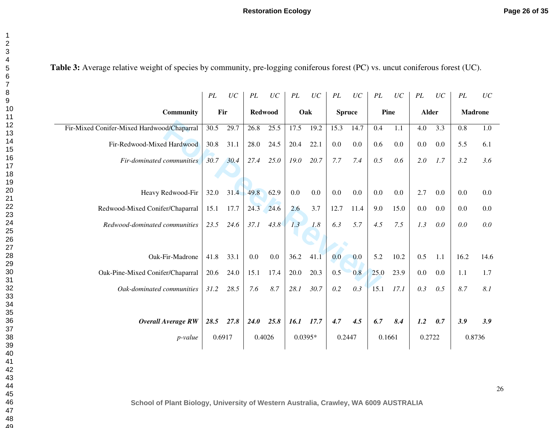|                                            | $\cal{P}L$ | $\cal UC$ | $\cal{P}L$     | $\cal UC$ | $\cal PL$ | UC   | PL            | $\cal UC$ | $\cal{P}L$ | UC   | PL           | UC      | PL             | UC   |
|--------------------------------------------|------------|-----------|----------------|-----------|-----------|------|---------------|-----------|------------|------|--------------|---------|----------------|------|
| Community                                  | Fir        |           | <b>Redwood</b> |           |           | Oak  | <b>Spruce</b> |           | Pine       |      | <b>Alder</b> |         | <b>Madrone</b> |      |
| Fir-Mixed Conifer-Mixed Hardwood/Chaparral | 30.5       | 29.7      | 26.8           | 25.5      | 17.5      | 19.2 | 15.3          | 14.7      | 0.4        | 1.1  | 4.0          | 3.3     | 0.8            | 1.0  |
| Fir-Redwood-Mixed Hardwood                 | 30.8       | 31.1      | 28.0           | 24.5      | 20.4      | 22.1 | 0.0           | 0.0       | 0.6        | 0.0  | $0.0\,$      | $0.0\,$ | 5.5            | 6.1  |
| Fir-dominated communities                  | 30.7       | 30.4      | 27.4           | 25.0      | 19.0      | 20.7 | 7.7           | 7.4       | 0.5        | 0.6  | 2.0          | 1.7     | 3.2            | 3.6  |
|                                            |            |           |                |           |           |      |               |           |            |      |              |         |                |      |
| Heavy Redwood-Fir                          | 32.0       | 31.4      | 49.8           | 62.9      | 0.0       | 0.0  | 0.0           | 0.0       | 0.0        | 0.0  | 2.7          | 0.0     | 0.0            | 0.0  |
| Redwood-Mixed Conifer/Chaparral            | 15.1       | 17.7      | 24.3           | 24.6      | 2.6       | 3.7  | 12.7          | 11.4      | 9.0        | 15.0 | 0.0          | $0.0\,$ | 0.0            | 0.0  |
| Redwood-dominated communities              | 23.5       | 24.6      | 37.1           | 43.8      | 1.3       | 1.8  | 6.3           | 5.7       | 4.5        | 7.5  | 1.3          | 0.0     | 0.0            | 0.0  |
|                                            |            |           |                |           |           |      |               |           |            |      |              |         |                |      |
| Oak-Fir-Madrone                            | 41.8       | 33.1      | 0.0            | 0.0       | 36.2      | 41.1 | 0.0           | 0.0       | 5.2        | 10.2 | 0.5          | 1.1     | 16.2           | 14.6 |
| Oak-Pine-Mixed Conifer/Chaparral           | 20.6       | 24.0      | 15.1           | 17.4      | 20.0      | 20.3 | 0.5           | 0.8       | 25.0       | 23.9 | 0.0          | 0.0     | 1.1            | 1.7  |
| Oak-dominated communities                  | 31.2       | 28.5      | 7.6            | 8.7       | 28.1      | 30.7 | 0.2           | 0.3       | 15.1       | 17.1 | 0.3          | 0.5     | 8.7            | 8.1  |
|                                            |            |           |                |           |           |      |               |           |            |      |              |         |                |      |
| <b>Overall Average RW</b>                  | 28.5       | 27.8      | <b>24.0</b>    | 25.8      | 16.1      | 17.7 | 4.7           | 4.5       | 6.7        | 8.4  | 1.2          | 0.7     | 3.9            | 3.9  |
| <i>p</i> -value                            | 0.6917     |           | 0.4026         |           | $0.0395*$ |      | 0.2447        |           | 0.1661     |      | 0.2722       |         | 0.8736         |      |

Table 3: Average relative weight of species by community, pre-logging coniferous forest (PC) vs. uncut coniferous forest (UC).

**School of Plant Biology, University of Western Australia, Crawley, WA 6009 AUSTRALIA**

 $\sim$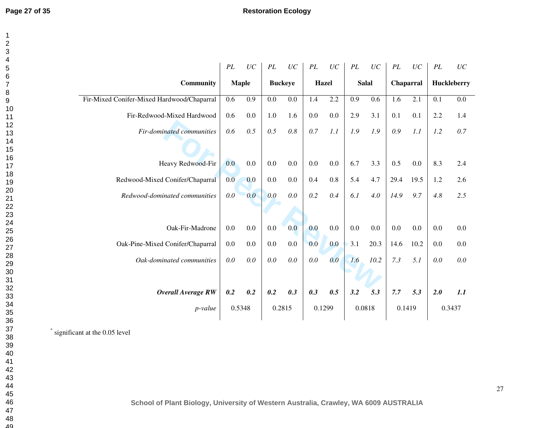|                                            | PL  | UC           | PL             | UC  | PL  | UC           | $\cal{P}L$ | UC           | PL        | $\cal UC$ | PL  | UC          |
|--------------------------------------------|-----|--------------|----------------|-----|-----|--------------|------------|--------------|-----------|-----------|-----|-------------|
| <b>Community</b>                           |     | <b>Maple</b> | <b>Buckeye</b> |     |     | <b>Hazel</b> |            | <b>Salal</b> | Chaparral |           |     | Huckleberry |
| Fir-Mixed Conifer-Mixed Hardwood/Chaparral | 0.6 | 0.9          | 0.0            | 0.0 | 1.4 | 2.2          | 0.9        | 0.6          | 1.6       | 2.1       | 0.1 | 0.0         |
| Fir-Redwood-Mixed Hardwood                 | 0.6 | 0.0          | 1.0            | 1.6 | 0.0 | 0.0          | 2.9        | 3.1          | 0.1       | 0.1       | 2.2 | 1.4         |
| <b>Fir-dominated communities</b>           | 0.6 | 0.5          | 0.5            | 0.8 | 0.7 | 1.1          | 1.9        | 1.9          | 0.9       | 1.1       | 1.2 | 0.7         |
|                                            |     |              |                |     |     |              |            |              |           |           |     |             |
| Heavy Redwood-Fir                          | 0.0 | 0.0          | 0.0            | 0.0 | 0.0 | 0.0          | 6.7        | 3.3          | 0.5       | 0.0       | 8.3 | 2.4         |
| Redwood-Mixed Conifer/Chaparral            | 0.0 | 0.0          | 0.0            | 0.0 | 0.4 | 0.8          | 5.4        | 4.7          | 29.4      | 19.5      | 1.2 | 2.6         |
| Redwood-dominated communities              | 0.0 | 0.0          | 0.0            | 0.0 | 0.2 | 0.4          | 6.1        | 4.0          | 14.9      | 9.7       | 4.8 | 2.5         |
|                                            |     |              |                |     |     |              |            |              |           |           |     |             |
| Oak-Fir-Madrone                            | 0.0 | 0.0          | 0.0            | 0.0 | 0.0 | 0.0          | 0.0        | 0.0          | 0.0       | 0.0       | 0.0 | 0.0         |
| Oak-Pine-Mixed Conifer/Chaparral           | 0.0 | 0.0          | 0.0            | 0.0 | 0.0 | 0.0          | 3.1        | 20.3         | 14.6      | 10.2      | 0.0 | 0.0         |
| Oak-dominated communities                  | 0.0 | 0.0          | 0.0            | 0.0 | 0.0 | 0.0          | 1.6        | 10.2         | 7.3       | 5.1       | 0.0 | 0.0         |
|                                            |     |              |                |     |     |              |            |              |           |           |     |             |
| <b>Overall Average RW</b>                  | 0.2 | 0.2          | 0.2            | 0.3 | 0.3 | 0.5          | 3.2        | 5.3          | 7.7       | 5.3       | 2.0 | 1.1         |
| $p$ -value                                 |     | 0.5348       | 0.2815         |     |     | 0.1299       |            | 0.0818       | 0.1419    |           |     | 0.3437      |

\* significant at the 0.05 level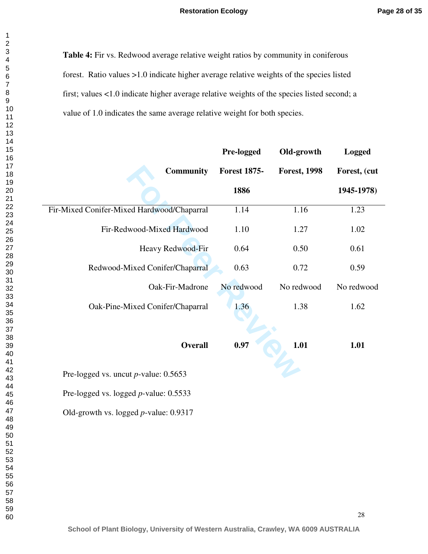**Table 4:** Fir vs. Redwood average relative weight ratios by community in coniferous forest. Ratio values >1.0 indicate higher average relative weights of the species listed first; values <1.0 indicate higher average relative weights of the species listed second; a value of 1.0 indicates the same average relative weight for both species.

|                                            | Pre-logged          | Old-growth          | <b>Logged</b> |
|--------------------------------------------|---------------------|---------------------|---------------|
| <b>Community</b>                           | <b>Forest 1875-</b> | <b>Forest, 1998</b> | Forest, (cut  |
|                                            | 1886                |                     | 1945-1978)    |
| Fir-Mixed Conifer-Mixed Hardwood/Chaparral | 1.14                | 1.16                | 1.23          |
| Fir-Redwood-Mixed Hardwood                 | 1.10                | 1.27                | 1.02          |
| Heavy Redwood-Fir                          | 0.64                | 0.50                | 0.61          |
| Redwood-Mixed Conifer/Chaparral            | 0.63                | 0.72                | 0.59          |
| Oak-Fir-Madrone                            | No redwood          | No redwood          | No redwood    |
| Oak-Pine-Mixed Conifer/Chaparral           | 1.36                | 1.38                | 1.62          |
|                                            |                     |                     |               |
| <b>Overall</b>                             | 0.97                | 1.01                | 1.01          |
| Pre-logged vs. uncut $p$ -value: 0.5653    |                     |                     |               |
| Pre-logged vs. logged $p$ -value: 0.5533   |                     |                     |               |
| Old-growth vs. logged $p$ -value: 0.9317   |                     |                     |               |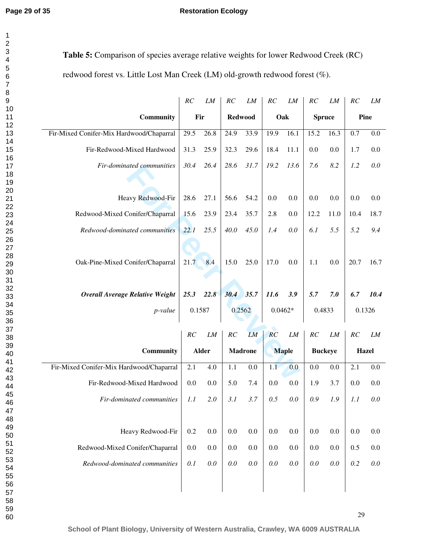$\mathbf{1}$  $\overline{2}$  $\overline{\mathbf{4}}$  $\overline{7}$  $\, 8$ 

**Table 5:** Comparison of species average relative weights for lower Redwood Creek (RC) redwood forest vs. Little Lost Man Creek (LM) old-growth redwood forest (%).

|                                          | RC   | ${\it LM}$   | RC               | LM             | $\cal RC$ | LM           | RC               | LM               | RC           | LM      |
|------------------------------------------|------|--------------|------------------|----------------|-----------|--------------|------------------|------------------|--------------|---------|
| Community                                |      | Fir          | <b>Redwood</b>   |                | Oak       |              | <b>Spruce</b>    |                  | Pine         |         |
| Fir-Mixed Conifer-Mix Hardwood/Chaparral | 29.5 | 26.8         | 24.9             | 33.9           | 19.9      | 16.1         | 15.2             | 16.3             | 0.7          | 0.0     |
| Fir-Redwood-Mixed Hardwood               | 31.3 | 25.9         | 32.3             | 29.6           | 18.4      | 11.1         | 0.0              | $0.0\,$          | 1.7          | 0.0     |
| Fir-dominated communities                | 30.4 | 26.4         | 28.6             | 31.7           | 19.2      | 13.6         | 7.6              | 8.2              | 1.2          | 0.0     |
|                                          |      |              |                  |                |           |              |                  |                  |              |         |
| Heavy Redwood-Fir                        | 28.6 | 27.1         | 56.6             | 54.2           | 0.0       | 0.0          | 0.0              | 0.0              | 0.0          | $0.0\,$ |
| Redwood-Mixed Conifer/Chaparral          | 15.6 | 23.9         | 23.4             | 35.7           | 2.8       | 0.0          | 12.2             | 11.0             | 10.4         | 18.7    |
| Redwood-dominated communities            | 22.1 | 25.5         | 40.0             | 45.0           | 1.4       | 0.0          | 6.1              | 5.5              | 5.2          | 9.4     |
|                                          |      |              |                  |                |           |              |                  |                  |              |         |
| Oak-Pine-Mixed Conifer/Chaparral         | 21.7 | 8.4          | 15.0             | 25.0           | 17.0      | 0.0          | 1.1              | $0.0\,$          | 20.7         | 16.7    |
|                                          |      |              |                  |                |           |              |                  |                  |              |         |
| <b>Overall Average Relative Weight</b>   | 25.3 | 22.8         | 30.4 35.7        |                | 11.6      | 3.9          | 5.7              | 7.0              | 6.7          | 10.4    |
| p-value                                  |      | 0.1587       |                  | 0.2562         | $0.0462*$ |              | 0.4833           |                  | 0.1326       |         |
|                                          |      |              |                  |                |           |              |                  |                  |              |         |
|                                          |      |              |                  |                |           |              |                  |                  |              |         |
|                                          | RC   | LM           | $\cal RC$        | <b>LM</b>      | RC        | ${\it LM}$   | $\cal RC$        | LM               | RC           | LM      |
| Community                                |      | <b>Alder</b> |                  | <b>Madrone</b> |           | <b>Maple</b> |                  | <b>Buckeye</b>   | <b>Hazel</b> |         |
| Fir-Mixed Conifer-Mix Hardwood/Chaparral | 2.1  | 4.0          | $\overline{1.1}$ | 0.0            | 1.1       | 0.0          | $\overline{0.0}$ | $\overline{0.0}$ | 2.1          | $0.0\,$ |
| Fir-Redwood-Mixed Hardwood               | 0.0  | 0.0          | 5.0              | 7.4            | 0.0       | 0.0          | 1.9              | 3.7              | 0.0          | 0.0     |
| Fir-dominated communities                | 1.1  | 2.0          | 3.1              | 3.7            | 0.5       | 0.0          | 0.9              | 1.9              | 1.1          | 0.0     |
|                                          |      |              |                  |                |           |              |                  |                  |              |         |
| Heavy Redwood-Fir                        | 0.2  | 0.0          | 0.0              | 0.0            | $0.0\,$   | 0.0          | 0.0              | 0.0              | 0.0          | 0.0     |
| Redwood-Mixed Conifer/Chaparral          | 0.0  | 0.0          | 0.0              | 0.0            | $0.0\,$   | 0.0          | $0.0\,$          | 0.0              | 0.5          | 0.0     |
| Redwood-dominated communities            | 0.1  | 0.0          | 0.0              | 0.0            | $0.0\,$   | 0.0          | $0.0\,$          | $0.0\,$          | 0.2          | $0.0\,$ |
|                                          |      |              |                  |                |           |              |                  |                  |              |         |

**School of Plant Biology, University of Western Australia, Crawley, WA 6009 AUSTRALIA**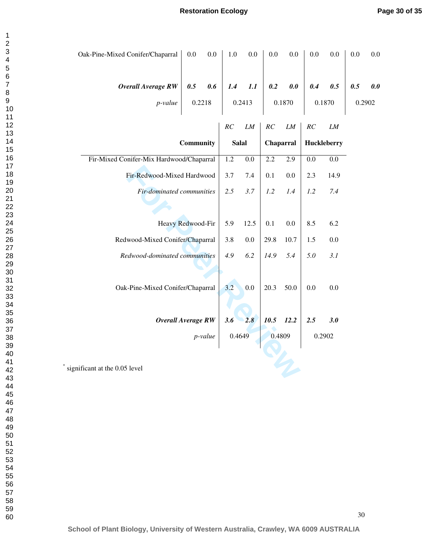| Oak-Pine-Mixed Conifer/Chaparral         | $0.0\,$    | 0.0           | 1.0                | 0.0           | 0.0             | 0.0           | 0.0              | 0.0               | 0.0           | $0.0\,$ |
|------------------------------------------|------------|---------------|--------------------|---------------|-----------------|---------------|------------------|-------------------|---------------|---------|
| <b>Overall Average RW</b><br>p-value     | 0.5        | 0.6<br>0.2218 | 1.4                | 1.1<br>0.2413 | 0.2             | 0.0<br>0.1870 | 0.4              | 0.5<br>0.1870     | 0.5<br>0.2902 | 0.0     |
|                                          | Community  |               | RC<br><b>Salal</b> | ${\it LM}$    | RC<br>Chaparral | ${\it LM}$    | $\cal RC$        | LM<br>Huckleberry |               |         |
| Fir-Mixed Conifer-Mix Hardwood/Chaparral |            |               | $\overline{1.2}$   | 0.0           | 2.2             | 2.9           | $\overline{0.0}$ | $\overline{0.0}$  |               |         |
| Fir-Redwood-Mixed Hardwood               |            | 3.7           | 7.4                | 0.1           | 0.0             | 2.3           | 14.9             |                   |               |         |
| Fir-dominated communities                |            | 2.5           | 3.7                | 1.2           | 1.4             | 1.2           | 7.4              |                   |               |         |
|                                          |            |               |                    |               |                 |               |                  |                   |               |         |
| Heavy Redwood-Fir                        |            | 5.9           | 12.5               | 0.1           | 0.0             | 8.5           | 6.2              |                   |               |         |
| Redwood-Mixed Conifer/Chaparral          |            | 3.8           | $0.0\,$            | 29.8          | 10.7            | 1.5           | $0.0\,$          |                   |               |         |
| Redwood-dominated communities            |            | 4.9           | 6.2                | 14.9          | 5.4             | 5.0           | 3.1              |                   |               |         |
|                                          |            |               |                    |               |                 |               |                  |                   |               |         |
| Oak-Pine-Mixed Conifer/Chaparral         |            | 3.2           | 0.0                | 20.3          | 50.0            | 0.0           | 0.0              |                   |               |         |
|                                          |            |               |                    |               |                 |               |                  |                   |               |         |
| <b>Overall Average RW</b>                |            |               | 3.6                | 2.8           | 10.5            | 12.2          | 2.5              | 3.0               |               |         |
|                                          | $p$ -value |               | 0.4649             |               | 0.4809          |               | 0.2902           |                   |               |         |
| significant at the 0.05 level            |            |               |                    |               |                 |               |                  |                   |               |         |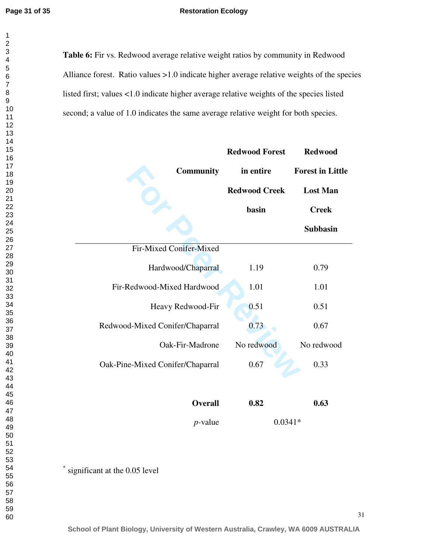$\mathbf{1}$  $\overline{2}$ 

Table 6: Fir vs. Redwood average relative weight ratios by community in Redwood Alliance forest. Ratio values >1.0 indicate higher average relative weights of the species listed first; values <1.0 indicate higher average relative weights of the species listed second; a value of 1.0 indicates the same average relative weight for both species.

|                                  | <b>Redwood Forest</b> | <b>Redwood</b><br><b>Forest in Little</b> |  |  |
|----------------------------------|-----------------------|-------------------------------------------|--|--|
| <b>Community</b>                 | in entire             |                                           |  |  |
|                                  | <b>Redwood Creek</b>  | <b>Lost Man</b>                           |  |  |
|                                  | basin                 | <b>Creek</b>                              |  |  |
|                                  |                       | <b>Subbasin</b>                           |  |  |
| Fir-Mixed Conifer-Mixed          |                       |                                           |  |  |
| Hardwood/Chaparral               | 1.19                  | 0.79                                      |  |  |
| Fir-Redwood-Mixed Hardwood       | 1.01                  | 1.01                                      |  |  |
| Heavy Redwood-Fir                | 0.51                  | 0.51                                      |  |  |
| Redwood-Mixed Conifer/Chaparral  | 0.73                  | 0.67                                      |  |  |
| Oak-Fir-Madrone                  | No redwood            | No redwood                                |  |  |
| Oak-Pine-Mixed Conifer/Chaparral | 0.67                  | 0.33                                      |  |  |
|                                  |                       |                                           |  |  |
| <b>Overall</b>                   | 0.82                  | 0.63                                      |  |  |
| $p$ -value                       | $0.0341*$             |                                           |  |  |

\* significant at the 0.05 level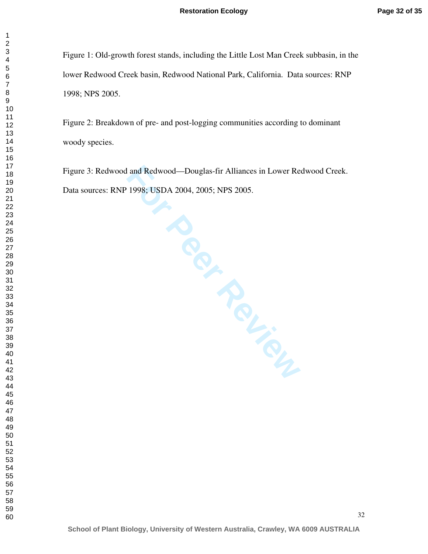Figure 1: Old-growth forest stands, including the Little Lost Man Creek subbasin, in the lower Redwood Creek basin, Redwood National Park, California. Data sources: RNP 1998; NPS 2005.

Figure 2: Breakdown of pre- and post-logging communities according to dominant woody species.

**FREE**<br>PREFIEL Figure 3: Redwood and Redwood—Douglas-fir Alliances in Lower Redwood Creek. Data sources: RNP 1998; USDA 2004, 2005; NPS 2005.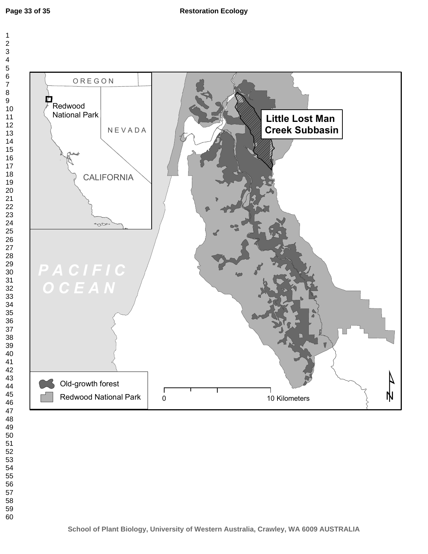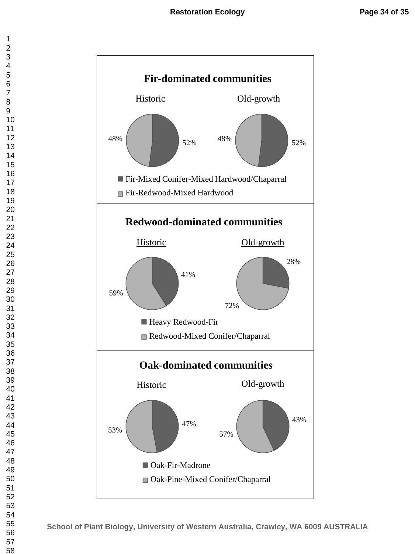